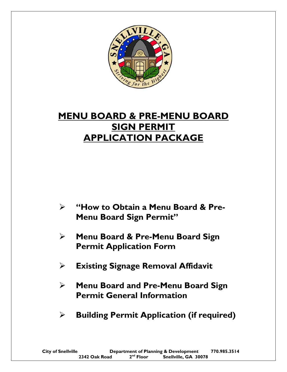

# **MENU BOARD & PRE-MENU BOARD SIGN PERMIT APPLICATION PACKAGE**

- **"How to Obtain a Menu Board & Pre-Menu Board Sign Permit"**
- **Menu Board & Pre-Menu Board Sign Permit Application Form**
- **Existing Signage Removal Affidavit**
- **Menu Board and Pre-Menu Board Sign Permit General Information**
- **Building Permit Application (if required)**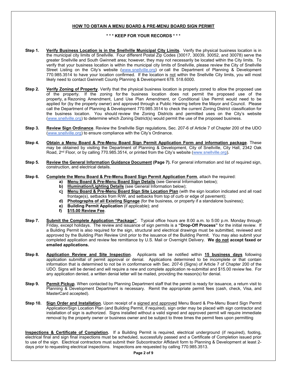# **HOW TO OBTAIN A MENU BOARD & PRE-MENU BOARD SIGN PERMIT**

#### **\* \* \* KEEP FOR YOUR RECORDS \* \* \***

- **Step 1.** Verify Business Location is in the Snellville Municipal City Limits. Verify the physical business location is in the municipal city limits of Snellville. Four different Postal Zip Codes (30017, 30039, 30052, and 30078) serve the greater Snellville and South Gwinnett area; however, they may not necessarily be located within the City limits. To verify that your business location is within the municipal city limits of Snellville, please review the City of Snellville Street Listing on the City's website (www.snellville.org) or call the Department of Planning & Development 770.985.3514 to have your location confirmed. If the location is not within the Snellville City limits, you will most likely need to contact Gwinnett County Planning & Development 678. 518.6000.
- **Step 2.** Verify Zoning of Property. Verify that the physical business location is properly zoned to allow the proposed use of the property. If the zoning for the business location does not permit the proposed use of the property, a Rezoning Amendment, Land Use Plan Amendment, or Conditional Use Permit would need to be applied for (by the property owner) and approved through a Public Hearing before the Mayor and Council. Please call the Department of Planning & Development 770.985.3514 to check the current Zoning District classification for the business location. You should review the Zoning Districts and permitted uses on the City's website (www.snellville.org) to determine which Zoning District(s) would permit the use of the proposed business.
- **Step 3. Review Sign Ordinance**. Review the Snellville Sign regulations, Sec. 207-6 of Article 7 of Chapter 200 of the UDO (www.snellville.org) to ensure compliance with the City's Ordinance.
- **Step 4. Obtain a Menu Board & Pre-Menu Board Sign Permit Application Form and information package**. These may be obtained by visiting the Department of Planning & Development, City of Snellville, City Hall, 2342 Oak Road, 2<sup>nd</sup> Floor, or by calling 770.985.3514, or printed from the City's website (www.snellville.org).
- **Step 5.** Review the General Information Guidance Document (Page 7). For general information and list of required sign, construction, and electrical details.

#### **Step 6. Complete the Menu Board & Pre-Menu Board Sign Permit Application Form**, attach the required:

- **a) Menu Board & Pre-Menu Board Sign Details** (see General Information below);
- **b) Illumination/Lighting Details** (see General Information below);
- **c) Menu Board & Pre-Menu Board Sign Site Location Plan** (with the sign location indicated and all road frontage(s), setbacks from R/W, and setbacks from top of curb or edge of pavement);
- **d) Photographs of all Existing Signage** (for the business, or property if a standalone business);
- **e) Building Permit Application** (if applicable); and
- **f) \$15.00 Review Fee**.
- **Step 7. Submit the Complete Application "Package"**. Typical office hours are 8:00 a.m. to 5:00 p.m. Monday through Friday, except holidays. The review and issuance of sign permits is a **"Drop-Off Process"** for the initial review. If a Building Permit is also required for the sign, structural and electrical drawings must be submitted, reviewed and approved by the Building Plan Review Unit prior to the issuance of the Building Permit. You may also submit your completed application and review fee remittance by U.S. Mail or Overnight Delivery. **We do not accept faxed or emailed applications.**
- **Step 8. Application Review and Site Inspection**. Applicants will be notified within **15 business days** following application submittal of permit approval or denial. Applications determined to be incomplete or that contain information that is determined to not be in conformance with Sec. 207-6 (Signs) of Article 7 of Chapter 200 of the UDO. Signs will be denied and will require a new and complete application re-submittal and \$15.00 review fee. For any application denied, a written denial letter will be mailed, providing the reason(s) for denial.
- **Step 9. Permit Pickup**. When contacted by Planning Department staff that the permit is ready for issuance, a return visit to Planning & Development Department is necessary. Remit the appropriate permit fees (cash, check, Visa, and MasterCard accepted).
- **Step 10. Sign Order and Installation**. Upon receipt of a signed and approved Menu Board & Pre-Menu Board Sign Permit Application/Sign Location Plan (and Building Permit, if required), sign order may be placed with sign contractor and installation of sign is authorized. Signs installed without a valid signed and approved permit will require immediate removal by the property owner or business owner and be subject to three times the permit fees upon permitting

**Inspections & Certificate of Completion.** If a Building Permit is required, electrical underground (if required), footing, electrical final and sign final inspections must be scheduled, successfully passed and a Certificate of Completion issued prior to use of the sign. Electrical contractors must submit their Subcontractor Affidavit form to Planning & Development at least 2 days prior to requesting electrical inspections. Inspections are requested by calling 770.985.3513.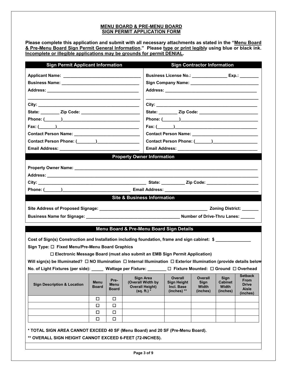# **MENU BOARD & PRE-MENU BOARD SIGN PERMIT APPLICATION FORM**

**Please complete this application and submit with all necessary attachments as stated in the "Menu Board & Pre-Menu Board Sign Permit General Information." Please type or print legibly using blue or black ink. Incomplete or illegible applications may be grounds for permit DENIAL.** 

| <b>Sign Permit Applicant Information</b>                                                                                             |                      |              |                                                                              | <b>Sign Contractor Information</b>                    |                                                       |                        |                                        |  |
|--------------------------------------------------------------------------------------------------------------------------------------|----------------------|--------------|------------------------------------------------------------------------------|-------------------------------------------------------|-------------------------------------------------------|------------------------|----------------------------------------|--|
|                                                                                                                                      |                      |              |                                                                              | Business License No.: _________________ Exp.: _______ |                                                       |                        |                                        |  |
|                                                                                                                                      |                      |              |                                                                              |                                                       |                                                       |                        |                                        |  |
|                                                                                                                                      |                      |              |                                                                              |                                                       |                                                       |                        |                                        |  |
|                                                                                                                                      |                      |              |                                                                              |                                                       |                                                       |                        |                                        |  |
|                                                                                                                                      |                      |              |                                                                              |                                                       |                                                       |                        |                                        |  |
|                                                                                                                                      |                      |              |                                                                              |                                                       |                                                       |                        |                                        |  |
|                                                                                                                                      |                      |              |                                                                              |                                                       |                                                       |                        |                                        |  |
|                                                                                                                                      |                      |              |                                                                              |                                                       |                                                       |                        |                                        |  |
| Contact Person Name: Name: Name and South Assembly Property and South Assembly Property and South Assembly                           |                      |              |                                                                              |                                                       |                                                       |                        |                                        |  |
|                                                                                                                                      |                      |              |                                                                              |                                                       |                                                       |                        |                                        |  |
|                                                                                                                                      |                      |              |                                                                              |                                                       |                                                       |                        |                                        |  |
|                                                                                                                                      |                      |              | <b>Property Owner Information</b>                                            |                                                       |                                                       |                        |                                        |  |
|                                                                                                                                      |                      |              |                                                                              |                                                       |                                                       |                        |                                        |  |
|                                                                                                                                      |                      |              |                                                                              |                                                       |                                                       |                        |                                        |  |
|                                                                                                                                      |                      |              |                                                                              |                                                       |                                                       |                        |                                        |  |
|                                                                                                                                      |                      |              |                                                                              |                                                       |                                                       |                        |                                        |  |
|                                                                                                                                      |                      |              | <b>Site &amp; Business Information</b>                                       |                                                       |                                                       |                        |                                        |  |
|                                                                                                                                      |                      |              |                                                                              |                                                       |                                                       |                        |                                        |  |
|                                                                                                                                      |                      |              |                                                                              |                                                       |                                                       |                        |                                        |  |
|                                                                                                                                      |                      |              |                                                                              |                                                       |                                                       |                        |                                        |  |
|                                                                                                                                      |                      |              | Menu Board & Pre-Menu Board Sign Details                                     |                                                       |                                                       |                        |                                        |  |
|                                                                                                                                      |                      |              |                                                                              |                                                       |                                                       |                        |                                        |  |
| Cost of Sign(s) Construction and Installation including foundation, frame and sign cabinet: \$                                       |                      |              |                                                                              |                                                       |                                                       |                        |                                        |  |
| Sign Type: □ Fixed Menu/Pre-Menu Board Graphics                                                                                      |                      |              |                                                                              |                                                       |                                                       |                        |                                        |  |
|                                                                                                                                      |                      |              | □ Electronic Message Board (must also submit an EMB Sign Permit Application) |                                                       |                                                       |                        |                                        |  |
| Will sign(s) be Illuminated? $\Box$ NO Illumination $\Box$ Internal Illumination $\Box$ Exterior Illumination (provide details below |                      |              |                                                                              |                                                       |                                                       |                        |                                        |  |
| No. of Light Fixtures (per side): _____ Wattage per Fixture: ______                                                                  |                      |              |                                                                              |                                                       | $\Box$ Fixture Mounted: $\Box$ Ground $\Box$ Overhead |                        |                                        |  |
| <b>Sign Description &amp; Location</b>                                                                                               | Menu<br><b>Board</b> | Pre-<br>Menu | Sign Area<br>(Overall Width by                                               | <b>Overall</b><br><b>Sign Height</b>                  | Overall<br>Sign<br>Width                              | Sign<br><b>Cabinet</b> | <b>Setback</b><br>From<br><b>Drive</b> |  |
|                                                                                                                                      |                      | <b>Board</b> | <b>Overall Height)</b><br>$(sq. ft.)$ *                                      | Incl. Base<br>(inches) **                             | (inches)                                              | Width<br>(inches)      | Aisle<br>(inches)                      |  |
|                                                                                                                                      | □                    | 0            |                                                                              |                                                       |                                                       |                        |                                        |  |
|                                                                                                                                      | □                    | □            |                                                                              |                                                       |                                                       |                        |                                        |  |
|                                                                                                                                      | $\Box$               | □            |                                                                              |                                                       |                                                       |                        |                                        |  |
|                                                                                                                                      | □                    | □            |                                                                              |                                                       |                                                       |                        |                                        |  |
| * TOTAL SIGN AREA CANNOT EXCEED 40 SF (Menu Board) and 20 SF (Pre-Menu Board).                                                       |                      |              |                                                                              |                                                       |                                                       |                        |                                        |  |
| ** OVERALL SIGN HEIGHT CANNOT EXCEED 6-FEET (72-INCHES).                                                                             |                      |              |                                                                              |                                                       |                                                       |                        |                                        |  |
|                                                                                                                                      |                      |              |                                                                              |                                                       |                                                       |                        |                                        |  |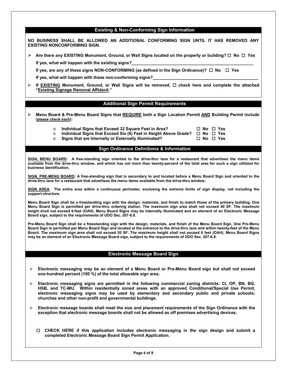#### **Existing & Non-Conforming Sign Information**

**NO BUSINESS SHALL BE ALLOWED AN ADDITIONAL CONFORMING SIGN UNTIL IT HAS REMOVED ANY EXISTING NONCONFORMING SIGN.** 

**Are there any EXISTING Monument, Ground, or Wall Signs located on the property or building? No Yes** 

**If yes, what will happen with the existing signs?** 

 **If yes, are any of these signs NON-CONFORMING (as defined in the Sign Ordinance)? No Yes**

If yes, what will happen with these non-conforming signs?

**If EXISTING** Monument, Ground, or Wall Signs will be removed, □ check here and complete the attached **"Existing Signage Removal Affidavit."** 

# **Additional Sign Permit Requirements**

- **Menu Board & Pre-Menu Board Signs that REQUIRE both a Sign Location Permit AND Building Permit include (please check each):**
	-
	- o **Individual Signs that Exceed 32 Square Feet in Area? No Yes**  o **Individual Signs that Exceed Six (6) Feet in Height Above Grade? No Yes**
	- $\circ$  Signs that are Internally or Externally Illuminated?

#### **Sign Ordinance Definitions & Information**

**SIGN, MENU BOARD: A free-standing sign oriented to the drive-thru lane for a restaurant that advertises the menu items available from the drive-thru window, and which has not more than twenty-percent of the total area for such a sign utilizied for business identification.** 

**SIGN, PRE-MENU BOARD: A free-standing sign that is secondary to and located before a Menu Board Sign and oriented to the drive-thru lane for a restaurant that advertises the menu items available from the drive-thru window.** 

**SIGN AREA. The entire area within a continuous perimeter, enclosing the extreme limits of sign display, not including the support structure.** 

**Menu Board Sign shall be a freestanding sign with the design, materials, and finish to match those of the primary building. One Menu Board Sign is permitted per drive-thru ordering station. The maximum sign area shall not exceed 40 SF. The maximum height shall not exceed 6-feet (OAH). Menu Board Signs may be internally illuminated and an element of an Electronic Message Board sign, subject to the requirements of UDO Sec. 207-6.8.** 

**Pre-Menu Board Sign shall be a freestanding sign with the design, materials, and finish of the Menu Board Sign. One Pre-Menu Board Sign is permitted per Menu Board Sign and located at the entrance to the drive-thru lane and within twenty-feet of the Menu Board. The maximum sign area shall not exceed 20 SF. The maximum height shall not exceed 6 feet (OAH). Menu Board Signs may be an element of an Electronic Message Board sign, subject to the requirements of UDO Sec. 207-6.8.** 

# **Electronic Message Board Sign**

- **Electronic messaging may be an element of a Menu Board or Pre-Menu Board sign but shall not exceed one-hundred percent (100 %) of the total allowable sign area.**
- **Electronic messaging signs are permitted in the following commercial zoning districts: CI, OP, BN, BG, HSB, and TC-MU. Within residentially zoned areas with an approved Conditional/Special Use Permit, electronic messaging signs may be used by elementary and secondary public and private schools; churches and other non-profit and governmental buildings.**
- **Electronic message boards shall meet the size and placement requirements of the Sign Ordinance with the exception that electronic message boards shall not be allowed as off premises advertising devices.** 
	- **CHECK HERE if this application includes electronic messaging in the sign design and submit a completed Electronic Message Board Sign Permit Application.**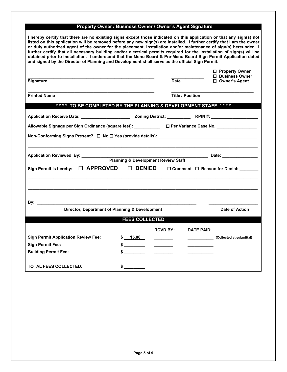# **Property Owner / Business Owner / Owner's Agent Signature**

| I hereby certify that there are no existing signs except those indicated on this application or that any sign(s) not<br>listed on this application will be removed before any new sign(s) are installed. I further certify that I am the owner<br>or duly authorized agent of the owner for the placement, installation and/or maintenance of sign(s) hereunder. I<br>further certify that all necessary building and/or electrical permits required for the installation of sign(s) will be<br>obtained prior to installation. I understand that the Menu Board & Pre-Menu Board Sign Permit Application dated<br>and signed by the Director of Planning and Development shall serve as the official Sign Permit. |                       |                          |                                         |  |
|--------------------------------------------------------------------------------------------------------------------------------------------------------------------------------------------------------------------------------------------------------------------------------------------------------------------------------------------------------------------------------------------------------------------------------------------------------------------------------------------------------------------------------------------------------------------------------------------------------------------------------------------------------------------------------------------------------------------|-----------------------|--------------------------|-----------------------------------------|--|
|                                                                                                                                                                                                                                                                                                                                                                                                                                                                                                                                                                                                                                                                                                                    |                       |                          | □ Property Owner<br>□ Business Owner    |  |
| <b>Signature</b>                                                                                                                                                                                                                                                                                                                                                                                                                                                                                                                                                                                                                                                                                                   |                       | Date                     | □ Owner's Agent                         |  |
| <b>Printed Name</b>                                                                                                                                                                                                                                                                                                                                                                                                                                                                                                                                                                                                                                                                                                |                       | <b>Title / Position</b>  |                                         |  |
| **** TO BE COMPLETED BY THE PLANNING & DEVELOPMENT STAFF ****                                                                                                                                                                                                                                                                                                                                                                                                                                                                                                                                                                                                                                                      |                       |                          |                                         |  |
|                                                                                                                                                                                                                                                                                                                                                                                                                                                                                                                                                                                                                                                                                                                    |                       |                          |                                         |  |
| Allowable Signage per Sign Ordinance (square feet): ___________ □ Per Variance Case No. _________________                                                                                                                                                                                                                                                                                                                                                                                                                                                                                                                                                                                                          |                       |                          |                                         |  |
| Non-Conforming Signs Present? □ No □ Yes (provide details): _____________________                                                                                                                                                                                                                                                                                                                                                                                                                                                                                                                                                                                                                                  |                       |                          |                                         |  |
|                                                                                                                                                                                                                                                                                                                                                                                                                                                                                                                                                                                                                                                                                                                    |                       |                          | _______________ Date: _________________ |  |
| $\Box$ APPROVED<br>$\square$ DENIED<br><b>Sign Permit is hereby:</b><br>$\Box$ Comment $\Box$ Reason for Denial:                                                                                                                                                                                                                                                                                                                                                                                                                                                                                                                                                                                                   |                       |                          |                                         |  |
|                                                                                                                                                                                                                                                                                                                                                                                                                                                                                                                                                                                                                                                                                                                    |                       |                          |                                         |  |
|                                                                                                                                                                                                                                                                                                                                                                                                                                                                                                                                                                                                                                                                                                                    |                       |                          |                                         |  |
| Director, Department of Planning & Development                                                                                                                                                                                                                                                                                                                                                                                                                                                                                                                                                                                                                                                                     |                       |                          | Date of Action                          |  |
|                                                                                                                                                                                                                                                                                                                                                                                                                                                                                                                                                                                                                                                                                                                    | <b>FEES COLLECTED</b> |                          |                                         |  |
|                                                                                                                                                                                                                                                                                                                                                                                                                                                                                                                                                                                                                                                                                                                    |                       | <b>RCVD BY:</b>          | DATE PAID:                              |  |
| <b>Sign Permit Application Review Fee:</b>                                                                                                                                                                                                                                                                                                                                                                                                                                                                                                                                                                                                                                                                         | \$ 15.00              | $\overline{\phantom{a}}$ | (Collected at submittal)                |  |
| <b>Sign Permit Fee:</b>                                                                                                                                                                                                                                                                                                                                                                                                                                                                                                                                                                                                                                                                                            | $\frac{1}{2}$         | $\frac{1}{2}$            |                                         |  |
| <b>Building Permit Fee:</b>                                                                                                                                                                                                                                                                                                                                                                                                                                                                                                                                                                                                                                                                                        |                       |                          |                                         |  |
| <b>TOTAL FEES COLLECTED:</b>                                                                                                                                                                                                                                                                                                                                                                                                                                                                                                                                                                                                                                                                                       | $\frac{1}{2}$         |                          |                                         |  |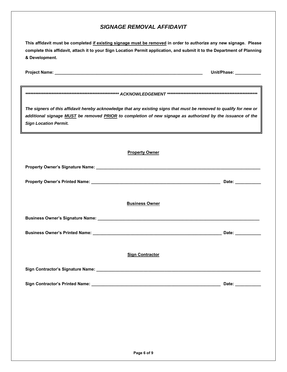# *SIGNAGE REMOVAL AFFIDAVIT*

| This affidavit must be completed if existing signage must be removed in order to authorize any new signage. Please                                                                                                                                                |                        |
|-------------------------------------------------------------------------------------------------------------------------------------------------------------------------------------------------------------------------------------------------------------------|------------------------|
| complete this affidavit, attach it to your Sign Location Permit application, and submit it to the Department of Planning<br>& Development.                                                                                                                        |                        |
|                                                                                                                                                                                                                                                                   | Unit/Phase: __________ |
|                                                                                                                                                                                                                                                                   |                        |
| The signers of this affidavit hereby acknowledge that any existing signs that must be removed to qualify for new or<br>additional signage MUST be removed PRIOR to completion of new signage as authorized by the issuance of the<br><b>Sign Location Permit.</b> |                        |
| <b>Property Owner</b>                                                                                                                                                                                                                                             |                        |
|                                                                                                                                                                                                                                                                   |                        |
|                                                                                                                                                                                                                                                                   | Date:                  |
| <b>Business Owner</b>                                                                                                                                                                                                                                             |                        |
|                                                                                                                                                                                                                                                                   |                        |
|                                                                                                                                                                                                                                                                   | Date: ___________      |
| <b>Sign Contractor</b>                                                                                                                                                                                                                                            |                        |
|                                                                                                                                                                                                                                                                   |                        |
|                                                                                                                                                                                                                                                                   | Date: ___________      |
|                                                                                                                                                                                                                                                                   |                        |
|                                                                                                                                                                                                                                                                   |                        |
|                                                                                                                                                                                                                                                                   |                        |
|                                                                                                                                                                                                                                                                   |                        |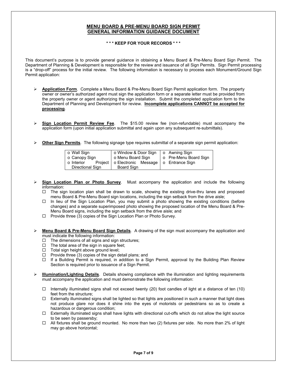#### **MENU BOARD & PRE-MENU BOARD SIGN PERMIT GENERAL INFORMATION GUIDANCE DOCUMENT**

**\* \* \* KEEP FOR YOUR RECORDS \* \* \***

This document's purpose is to provide general guidance in obtaining a Menu Board & Pre-Menu Board Sign Permit. The Department of Planning & Development is responsible for the review and issuance of all Sign Permits. Sign Permit processing is a "drop-off" process for the initial review. The following information is necessary to process each Monument/Ground Sign Permit application:

- **Application Form**. Complete a Menu Board & Pre-Menu Board Sign Permit application form. The property owner or owner's authorized agent must sign the application form or a separate letter must be provided from the property owner or agent authorizing the sign installation. Submit the completed application form to the Department of Planning and Development for review. **Incomplete applications CANNOT be accepted for processing**.
- **Sign Location Permit Review Fee**. The \$15.00 review fee (non-refundable) must accompany the application form (upon initial application submittal and again upon any subsequent re-submittals).
- **Other Sign Permits**. The following signage type requires submittal of a separate sign permit application:

| ○ Wall Sign      |  | o Window & Door Sign           |  |  | ○ Awning Sign         |  |  |
|------------------|--|--------------------------------|--|--|-----------------------|--|--|
| ⊙ Canopy Sign    |  | o Menu Board Sign              |  |  | o Pre-Menu Board Sign |  |  |
| $\circ$ Interior |  | Project   o Electronic Message |  |  | ' ⊙ Entrance Sign     |  |  |
| Directional Sign |  | Board Sign                     |  |  |                       |  |  |

- **Sign Location Plan or Photo Survey**. Must accompany the application and include the following information:
	- $\Box$  The sign location plan shall be drawn to scale, showing the existing drive-thru lanes and proposed menu Board & Pre-Menu Board sign locations, including the sign setback from the drive aisle;
	- □ In lieu of the Sign Location Plan, you may submit a photo showing the existing conditions (before changes) and a separate superimposed photo showing the proposed location of the Menu Board & Pre-Menu Board signs, including the sign setback from the drive aisle; and
	- $\Box$  Provide three (3) copies of the Sign Location Plan or Photo Survey.

 **Menu Board & Pre-Menu Board Sign Details**. A drawing of the sign must accompany the application and must indicate the following information:

- $\Box$  The dimensions of all signs and sign structures;
- $\Box$  The total area of the sign in square feet;
- $\Box$  Total sign height above ground level;
- $\Box$  Provide three (3) copies of the sign detail plans; and
- $\Box$  If a Building Permit is required, in addition to a Sign Permit, approval by the Building Plan Review Section is required prior to issuance of a Sign Permit.
- **Illumination/Lighting Details**. Details showing compliance with the illumination and lighting requirements must accompany the application and must demonstrate the following information:
	- $\Box$  Internally illuminated signs shall not exceed twenty (20) foot candles of light at a distance of ten (10) feet from the structure;
	- $\Box$  Externally illuminated signs shall be lighted so that lights are positioned in such a manner that light does not produce glare nor does it shine into the eyes of motorists or pedestrians so as to create a hazardous or dangerous condition;
	- $\Box$  Externally illuminated signs shall have lights with directional cut-offs which do not allow the light source to be seen by passersby;
	- $\Box$  All fixtures shall be ground mounted. No more than two (2) fixtures per side. No more than 2% of light may go above horizontal;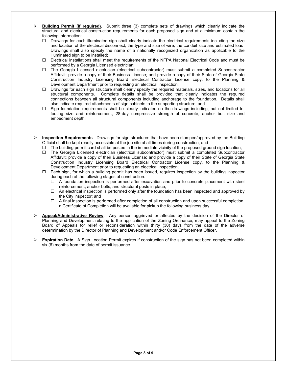- **Building Permit (if required)**. Submit three (3) complete sets of drawings which clearly indicate the structural and electrical construction requirements for each proposed sign and at a minimum contain the following information:
	- $\Box$  Drawings for each illuminated sign shall clearly indicate the electrical requirements including the size and location of the electrical disconnect, the type and size of wire, the conduit size and estimated load. Drawings shall also specify the name of a nationally recognized organization as applicable to the illuminated sign to be installed;
	- Electrical installations shall meet the requirements of the NFPA National Electrical Code and must be performed by a Georgia Licensed electrician;
	- The Georgia Licensed electrician (electrical subcontractor) must submit a completed Subcontractor Affidavit; provide a copy of their Business License; and provide a copy of their State of Georgia State Construction Industry Licensing Board Electrical Contractor License copy, to the Planning & Development Department prior to requesting an electrical inspection;
	- □ Drawings for each sign structure shall clearly specify the required materials, sizes, and locations for all structural components. Complete details shall be provided that clearly indicates the required connections between all structural components including anchorage to the foundation. Details shall also indicate required attachments of sign cabinets to the supporting structure; and
	- $\Box$  Sign foundation requirements shall be clearly indicated on the drawings including, but not limited to, footing size and reinforcement, 28-day compressive strength of concrete, anchor bolt size and embedment depth.
- **Inspection Requirements**. Drawings for sign structures that have been stamped/approved by the Building Official shall be kept readily accessible at the job site at all times during construction; and
	- $\Box$  The building permit card shall be posted in the immediate vicinity of the proposed ground sign location;
	- The Georgia Licensed electrician (electrical subcontractor) must submit a completed Subcontractor Affidavit; provide a copy of their Business License; and provide a copy of their State of Georgia State Construction Industry Licensing Board Electrical Contractor License copy, to the Planning & Development Department prior to requesting an electrical inspection;
	- □ Each sign, for which a building permit has been issued, requires inspection by the building inspector during each of the following stages of construction:
		- $\Box$  A foundation inspection is performed after excavation and prior to concrete placement with steel reinforcement, anchor bolts, and structural posts in place;
		- $\Box$  An electrical inspection is performed only after the foundation has been inspected and approved by the City inspector; and
		- $\Box$  A final inspection is performed after completion of all construction and upon successful completion, a Certificate of Completion will be available for pickup the following business day.
- **Appeal/Administrative Review**. Any person aggrieved or affected by the decision of the Director of Planning and Development relating to the application of the Zoning Ordinance, may appeal to the Zoning Board of Appeals for relief or reconsideration within thirty (30) days from the date of the adverse determination by the Director of Planning and Development and/or Code Enforcement Officer.
- **Expiration Date**. A Sign Location Permit expires if construction of the sign has not been completed within six (6) months from the date of permit issuance.